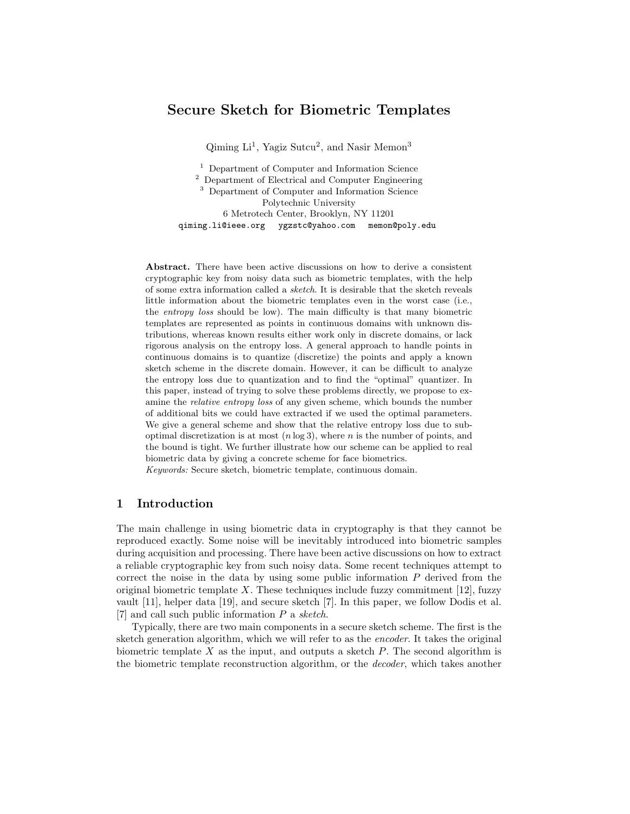# Secure Sketch for Biometric Templates

Qiming Li<sup>1</sup>, Yagiz Sutcu<sup>2</sup>, and Nasir Memon<sup>3</sup>

<sup>1</sup> Department of Computer and Information Science <sup>2</sup> Department of Electrical and Computer Engineering <sup>3</sup> Department of Computer and Information Science Polytechnic University 6 Metrotech Center, Brooklyn, NY 11201 qiming.li@ieee.org ygzstc@yahoo.com memon@poly.edu

Abstract. There have been active discussions on how to derive a consistent cryptographic key from noisy data such as biometric templates, with the help of some extra information called a sketch. It is desirable that the sketch reveals little information about the biometric templates even in the worst case (i.e., the entropy loss should be low). The main difficulty is that many biometric templates are represented as points in continuous domains with unknown distributions, whereas known results either work only in discrete domains, or lack rigorous analysis on the entropy loss. A general approach to handle points in continuous domains is to quantize (discretize) the points and apply a known sketch scheme in the discrete domain. However, it can be difficult to analyze the entropy loss due to quantization and to find the "optimal" quantizer. In this paper, instead of trying to solve these problems directly, we propose to examine the relative entropy loss of any given scheme, which bounds the number of additional bits we could have extracted if we used the optimal parameters. We give a general scheme and show that the relative entropy loss due to suboptimal discretization is at most  $(n \log 3)$ , where n is the number of points, and the bound is tight. We further illustrate how our scheme can be applied to real biometric data by giving a concrete scheme for face biometrics. Keywords: Secure sketch, biometric template, continuous domain.

## 1 Introduction

The main challenge in using biometric data in cryptography is that they cannot be reproduced exactly. Some noise will be inevitably introduced into biometric samples during acquisition and processing. There have been active discussions on how to extract a reliable cryptographic key from such noisy data. Some recent techniques attempt to correct the noise in the data by using some public information  $P$  derived from the original biometric template  $X$ . These techniques include fuzzy commitment [12], fuzzy vault [11], helper data [19], and secure sketch [7]. In this paper, we follow Dodis et al. [7] and call such public information P a sketch.

Typically, there are two main components in a secure sketch scheme. The first is the sketch generation algorithm, which we will refer to as the encoder. It takes the original biometric template X as the input, and outputs a sketch  $P$ . The second algorithm is the biometric template reconstruction algorithm, or the decoder, which takes another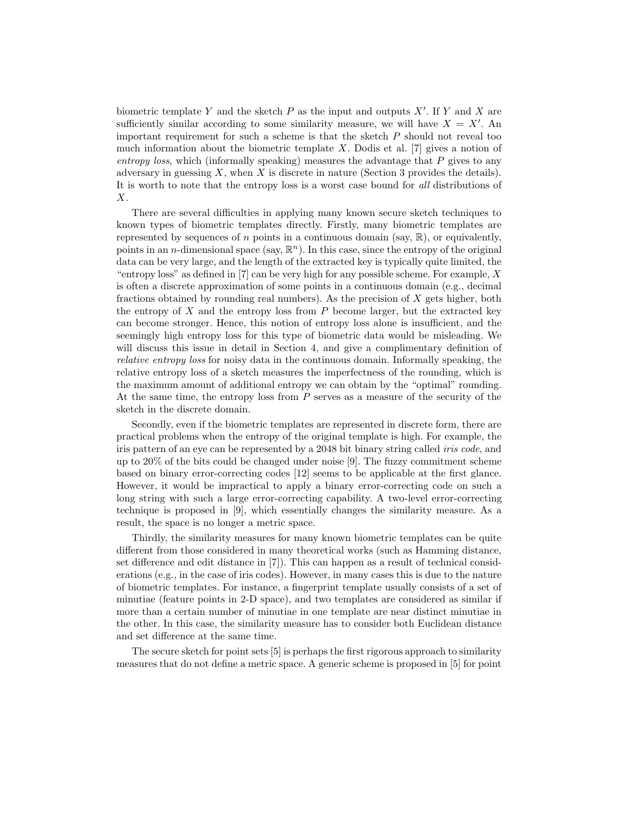biometric template Y and the sketch  $P$  as the input and outputs  $X'$ . If Y and X are sufficiently similar according to some similarity measure, we will have  $X = X'$ . An important requirement for such a scheme is that the sketch  $P$  should not reveal too much information about the biometric template X. Dodis et al.  $[7]$  gives a notion of entropy loss, which (informally speaking) measures the advantage that  $P$  gives to any adversary in guessing  $X$ , when  $X$  is discrete in nature (Section 3 provides the details). It is worth to note that the entropy loss is a worst case bound for all distributions of X.

There are several difficulties in applying many known secure sketch techniques to known types of biometric templates directly. Firstly, many biometric templates are represented by sequences of n points in a continuous domain (say,  $\mathbb{R}$ ), or equivalently, points in an *n*-dimensional space (say,  $\mathbb{R}^n$ ). In this case, since the entropy of the original data can be very large, and the length of the extracted key is typically quite limited, the "entropy loss" as defined in [7] can be very high for any possible scheme. For example, X is often a discrete approximation of some points in a continuous domain (e.g., decimal fractions obtained by rounding real numbers). As the precision of X gets higher, both the entropy of  $X$  and the entropy loss from  $P$  become larger, but the extracted key can become stronger. Hence, this notion of entropy loss alone is insufficient, and the seemingly high entropy loss for this type of biometric data would be misleading. We will discuss this issue in detail in Section 4, and give a complimentary definition of relative entropy loss for noisy data in the continuous domain. Informally speaking, the relative entropy loss of a sketch measures the imperfectness of the rounding, which is the maximum amount of additional entropy we can obtain by the "optimal" rounding. At the same time, the entropy loss from P serves as a measure of the security of the sketch in the discrete domain.

Secondly, even if the biometric templates are represented in discrete form, there are practical problems when the entropy of the original template is high. For example, the iris pattern of an eye can be represented by a 2048 bit binary string called *iris code*, and up to 20% of the bits could be changed under noise [9]. The fuzzy commitment scheme based on binary error-correcting codes [12] seems to be applicable at the first glance. However, it would be impractical to apply a binary error-correcting code on such a long string with such a large error-correcting capability. A two-level error-correcting technique is proposed in [9], which essentially changes the similarity measure. As a result, the space is no longer a metric space.

Thirdly, the similarity measures for many known biometric templates can be quite different from those considered in many theoretical works (such as Hamming distance, set difference and edit distance in [7]). This can happen as a result of technical considerations (e.g., in the case of iris codes). However, in many cases this is due to the nature of biometric templates. For instance, a fingerprint template usually consists of a set of minutiae (feature points in 2-D space), and two templates are considered as similar if more than a certain number of minutiae in one template are near distinct minutiae in the other. In this case, the similarity measure has to consider both Euclidean distance and set difference at the same time.

The secure sketch for point sets [5] is perhaps the first rigorous approach to similarity measures that do not define a metric space. A generic scheme is proposed in [5] for point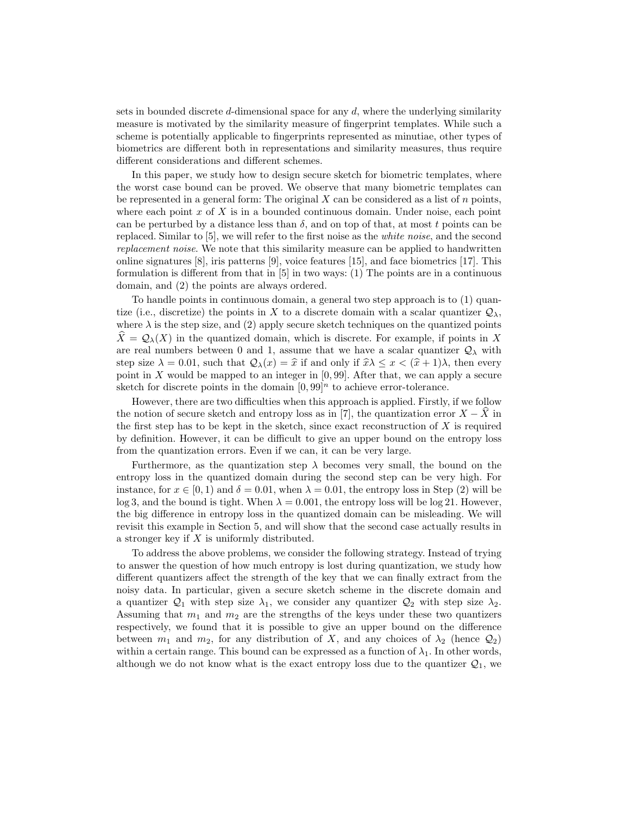sets in bounded discrete d-dimensional space for any  $d$ , where the underlying similarity measure is motivated by the similarity measure of fingerprint templates. While such a scheme is potentially applicable to fingerprints represented as minutiae, other types of biometrics are different both in representations and similarity measures, thus require different considerations and different schemes.

In this paper, we study how to design secure sketch for biometric templates, where the worst case bound can be proved. We observe that many biometric templates can be represented in a general form: The original  $X$  can be considered as a list of  $n$  points, where each point  $x$  of  $X$  is in a bounded continuous domain. Under noise, each point can be perturbed by a distance less than  $\delta$ , and on top of that, at most t points can be replaced. Similar to [5], we will refer to the first noise as the white noise, and the second replacement noise. We note that this similarity measure can be applied to handwritten online signatures [8], iris patterns [9], voice features [15], and face biometrics [17]. This formulation is different from that in [5] in two ways: (1) The points are in a continuous domain, and (2) the points are always ordered.

To handle points in continuous domain, a general two step approach is to (1) quantize (i.e., discretize) the points in X to a discrete domain with a scalar quantizer  $\mathcal{Q}_{\lambda}$ , where  $\lambda$  is the step size, and (2) apply secure sketch techniques on the quantized points  $\hat{X} = \mathcal{Q}_{\lambda}(X)$  in the quantized domain, which is discrete. For example, if points in X are real numbers between 0 and 1, assume that we have a scalar quantizer  $\mathcal{Q}_{\lambda}$  with step size  $\lambda = 0.01$ , such that  $\mathcal{Q}_{\lambda}(x) = \hat{x}$  if and only if  $\hat{x}\lambda \leq x < (\hat{x} + 1)\lambda$ , then every point in X would be mapped to an integer in  $[0, 99]$ . After that, we can apply a secure sketch for discrete points in the domain  $[0, 99]^n$  to achieve error-tolerance.

However, there are two difficulties when this approach is applied. Firstly, if we follow the notion of secure sketch and entropy loss as in [7], the quantization error  $X - \overline{X}$  in the first step has to be kept in the sketch, since exact reconstruction of  $X$  is required by definition. However, it can be difficult to give an upper bound on the entropy loss from the quantization errors. Even if we can, it can be very large.

Furthermore, as the quantization step  $\lambda$  becomes very small, the bound on the entropy loss in the quantized domain during the second step can be very high. For instance, for  $x \in [0, 1)$  and  $\delta = 0.01$ , when  $\lambda = 0.01$ , the entropy loss in Step (2) will be log 3, and the bound is tight. When  $\lambda = 0.001$ , the entropy loss will be log 21. However, the big difference in entropy loss in the quantized domain can be misleading. We will revisit this example in Section 5, and will show that the second case actually results in a stronger key if  $X$  is uniformly distributed.

To address the above problems, we consider the following strategy. Instead of trying to answer the question of how much entropy is lost during quantization, we study how different quantizers affect the strength of the key that we can finally extract from the noisy data. In particular, given a secure sketch scheme in the discrete domain and a quantizer  $\mathcal{Q}_1$  with step size  $\lambda_1$ , we consider any quantizer  $\mathcal{Q}_2$  with step size  $\lambda_2$ . Assuming that  $m_1$  and  $m_2$  are the strengths of the keys under these two quantizers respectively, we found that it is possible to give an upper bound on the difference between  $m_1$  and  $m_2$ , for any distribution of X, and any choices of  $\lambda_2$  (hence  $\mathcal{Q}_2$ ) within a certain range. This bound can be expressed as a function of  $\lambda_1$ . In other words, although we do not know what is the exact entropy loss due to the quantizer  $\mathcal{Q}_1$ , we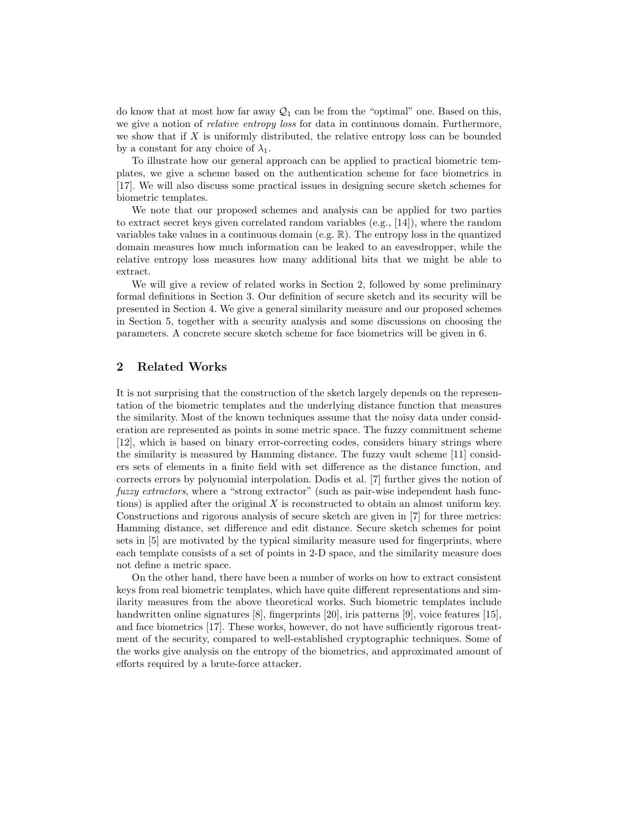do know that at most how far away  $\mathcal{Q}_1$  can be from the "optimal" one. Based on this, we give a notion of *relative entropy loss* for data in continuous domain. Furthermore, we show that if  $X$  is uniformly distributed, the relative entropy loss can be bounded by a constant for any choice of  $\lambda_1$ .

To illustrate how our general approach can be applied to practical biometric templates, we give a scheme based on the authentication scheme for face biometrics in [17]. We will also discuss some practical issues in designing secure sketch schemes for biometric templates.

We note that our proposed schemes and analysis can be applied for two parties to extract secret keys given correlated random variables (e.g., [14]), where the random variables take values in a continuous domain (e.g. R). The entropy loss in the quantized domain measures how much information can be leaked to an eavesdropper, while the relative entropy loss measures how many additional bits that we might be able to extract.

We will give a review of related works in Section 2, followed by some preliminary formal definitions in Section 3. Our definition of secure sketch and its security will be presented in Section 4. We give a general similarity measure and our proposed schemes in Section 5, together with a security analysis and some discussions on choosing the parameters. A concrete secure sketch scheme for face biometrics will be given in 6.

## 2 Related Works

It is not surprising that the construction of the sketch largely depends on the representation of the biometric templates and the underlying distance function that measures the similarity. Most of the known techniques assume that the noisy data under consideration are represented as points in some metric space. The fuzzy commitment scheme [12], which is based on binary error-correcting codes, considers binary strings where the similarity is measured by Hamming distance. The fuzzy vault scheme [11] considers sets of elements in a finite field with set difference as the distance function, and corrects errors by polynomial interpolation. Dodis et al. [7] further gives the notion of fuzzy extractors, where a "strong extractor" (such as pair-wise independent hash functions) is applied after the original X is reconstructed to obtain an almost uniform key. Constructions and rigorous analysis of secure sketch are given in [7] for three metrics: Hamming distance, set difference and edit distance. Secure sketch schemes for point sets in [5] are motivated by the typical similarity measure used for fingerprints, where each template consists of a set of points in 2-D space, and the similarity measure does not define a metric space.

On the other hand, there have been a number of works on how to extract consistent keys from real biometric templates, which have quite different representations and similarity measures from the above theoretical works. Such biometric templates include handwritten online signatures [8], fingerprints [20], iris patterns [9], voice features [15], and face biometrics [17]. These works, however, do not have sufficiently rigorous treatment of the security, compared to well-established cryptographic techniques. Some of the works give analysis on the entropy of the biometrics, and approximated amount of efforts required by a brute-force attacker.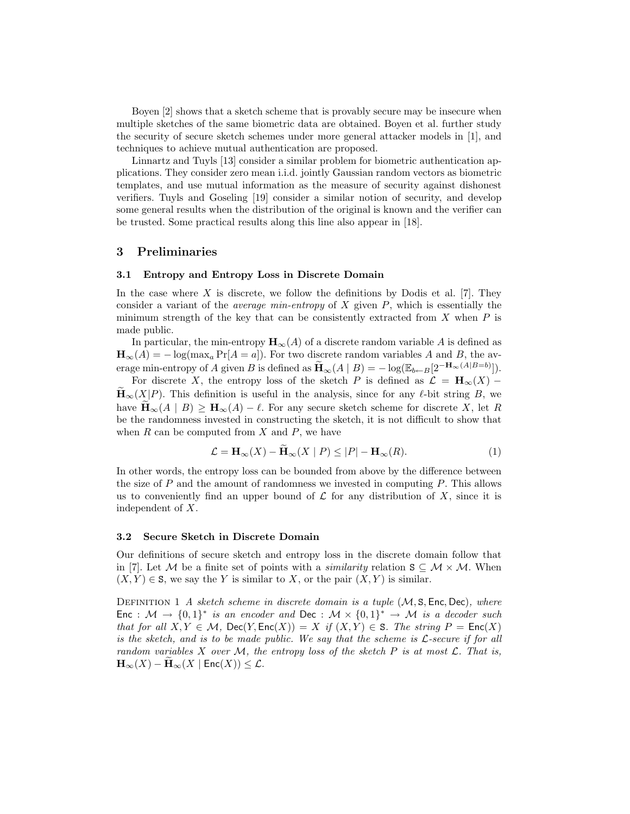Boyen [2] shows that a sketch scheme that is provably secure may be insecure when multiple sketches of the same biometric data are obtained. Boyen et al. further study the security of secure sketch schemes under more general attacker models in [1], and techniques to achieve mutual authentication are proposed.

Linnartz and Tuyls [13] consider a similar problem for biometric authentication applications. They consider zero mean i.i.d. jointly Gaussian random vectors as biometric templates, and use mutual information as the measure of security against dishonest verifiers. Tuyls and Goseling [19] consider a similar notion of security, and develop some general results when the distribution of the original is known and the verifier can be trusted. Some practical results along this line also appear in [18].

### 3 Preliminaries

### 3.1 Entropy and Entropy Loss in Discrete Domain

In the case where  $X$  is discrete, we follow the definitions by Dodis et al. [7]. They consider a variant of the *average min-entropy* of  $X$  given  $P$ , which is essentially the minimum strength of the key that can be consistently extracted from  $X$  when  $P$  is made public.

In particular, the min-entropy  $\mathbf{H}_{\infty}(A)$  of a discrete random variable A is defined as  $\mathbf{H}_{\infty}(A) = -\log(\max_{a} \Pr[A = a])$ . For two discrete random variables A and B, the average min-entropy of A given B is defined as  $\widetilde{\mathbf{H}}_{\infty}(A | B) = -\log(\mathbb{E}_{b \leftarrow B}[2^{-\mathbf{H}_{\infty}(A|B=b)}]).$ 

For discrete X, the entropy loss of the sketch P is defined as  $\mathcal{L} = H_{\infty}(X)$  –  $\mathbf{H}_{\infty}(X|P)$ . This definition is useful in the analysis, since for any  $\ell$ -bit string B, we have  $\mathbf{H}_{\infty}(A \mid B) \geq \mathbf{H}_{\infty}(A) - \ell$ . For any secure sketch scheme for discrete X, let R be the randomness invested in constructing the sketch, it is not difficult to show that when  $R$  can be computed from  $X$  and  $P$ , we have

$$
\mathcal{L} = \mathbf{H}_{\infty}(X) - \mathbf{H}_{\infty}(X \mid P) \le |P| - \mathbf{H}_{\infty}(R). \tag{1}
$$

In other words, the entropy loss can be bounded from above by the difference between the size of  $P$  and the amount of randomness we invested in computing  $P$ . This allows us to conveniently find an upper bound of  $\mathcal L$  for any distribution of X, since it is independent of X.

#### 3.2 Secure Sketch in Discrete Domain

Our definitions of secure sketch and entropy loss in the discrete domain follow that in [7]. Let M be a finite set of points with a *similarity* relation  $S \subseteq M \times M$ . When  $(X, Y) \in S$ , we say the Y is similar to X, or the pair  $(X, Y)$  is similar.

DEFINITION 1 A sketch scheme in discrete domain is a tuple  $(M, S, Enc, Dec)$ , where Enc :  $M \to \{0,1\}^*$  is an encoder and Dec :  $M \times \{0,1\}^* \to M$  is a decoder such that for all  $X, Y \in \mathcal{M}$ , Dec $(Y, \text{Enc}(X)) = X$  if  $(X, Y) \in S$ . The string  $P = \text{Enc}(X)$ is the sketch, and is to be made public. We say that the scheme is  $\mathcal{L}\text{-}secure$  if for all random variables X over M, the entropy loss of the sketch P is at most  $\mathcal{L}$ . That is,  $\mathbf{H}_{\infty}(X) - \mathbf{H}_{\infty}(X \mid \text{Enc}(X)) \leq \mathcal{L}.$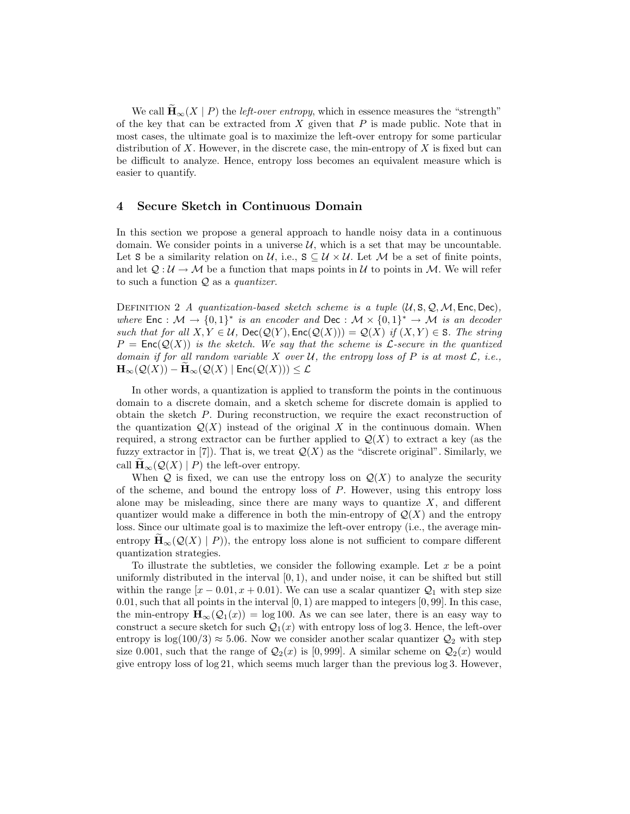We call  $\mathbf{H}_{\infty}(X | P)$  the *left-over entropy*, which in essence measures the "strength" of the key that can be extracted from  $X$  given that  $P$  is made public. Note that in most cases, the ultimate goal is to maximize the left-over entropy for some particular distribution of X. However, in the discrete case, the min-entropy of X is fixed but can be difficult to analyze. Hence, entropy loss becomes an equivalent measure which is easier to quantify.

### 4 Secure Sketch in Continuous Domain

In this section we propose a general approach to handle noisy data in a continuous domain. We consider points in a universe  $\mathcal{U}$ , which is a set that may be uncountable. Let S be a similarity relation on U, i.e.,  $S \subseteq U \times U$ . Let M be a set of finite points, and let  $\mathcal{Q}: \mathcal{U} \to \mathcal{M}$  be a function that maps points in  $\mathcal{U}$  to points in  $\mathcal{M}$ . We will refer to such a function  $Q$  as a *quantizer*.

DEFINITION 2 A quantization-based sketch scheme is a tuple  $(U, S, Q, M, Enc, Dec)$ , where  $\textsf{Enc} : \mathcal{M} \to \{0,1\}^*$  is an encoder and  $\textsf{Dec} : \mathcal{M} \times \{0,1\}^* \to \mathcal{M}$  is an decoder such that for all  $X, Y \in \mathcal{U}$ ,  $\text{Dec}(\mathcal{Q}(Y), \text{Enc}(\mathcal{Q}(X))) = \mathcal{Q}(X)$  if  $(X, Y) \in S$ . The string  $P = \mathsf{Enc}(\mathcal{Q}(X))$  is the sketch. We say that the scheme is L-secure in the quantized domain if for all random variable X over U, the entropy loss of P is at most  $\mathcal{L}$ , i.e.,  $\mathbf{H}_{\infty}(\mathcal{Q}(X)) - \mathbf{H}_{\infty}(\mathcal{Q}(X))$  | Enc $(\mathcal{Q}(X))) \leq \mathcal{L}$ 

In other words, a quantization is applied to transform the points in the continuous domain to a discrete domain, and a sketch scheme for discrete domain is applied to obtain the sketch P. During reconstruction, we require the exact reconstruction of the quantization  $\mathcal{Q}(X)$  instead of the original X in the continuous domain. When required, a strong extractor can be further applied to  $\mathcal{Q}(X)$  to extract a key (as the fuzzy extractor in [7]). That is, we treat  $\mathcal{Q}(X)$  as the "discrete original". Similarly, we call  $\mathbf{H}_{\infty}(\mathcal{Q}(X) | P)$  the left-over entropy.

When Q is fixed, we can use the entropy loss on  $\mathcal{Q}(X)$  to analyze the security of the scheme, and bound the entropy loss of P. However, using this entropy loss alone may be misleading, since there are many ways to quantize  $X$ , and different quantizer would make a difference in both the min-entropy of  $\mathcal{Q}(X)$  and the entropy loss. Since our ultimate goal is to maximize the left-over entropy (i.e., the average minentropy  $\mathbf{H}_{\infty}(\mathcal{Q}(X) | P)$ , the entropy loss alone is not sufficient to compare different quantization strategies.

To illustrate the subtleties, we consider the following example. Let  $x$  be a point uniformly distributed in the interval  $[0, 1)$ , and under noise, it can be shifted but still within the range  $[x - 0.01, x + 0.01]$ . We can use a scalar quantizer  $\mathcal{Q}_1$  with step size 0.01, such that all points in the interval  $[0, 1)$  are mapped to integers  $[0, 99]$ . In this case, the min-entropy  $\mathbf{H}_{\infty}(\mathcal{Q}_1(x)) = \log 100$ . As we can see later, there is an easy way to construct a secure sketch for such  $Q_1(x)$  with entropy loss of log 3. Hence, the left-over entropy is  $\log(100/3) \approx 5.06$ . Now we consider another scalar quantizer  $\mathcal{Q}_2$  with step size 0.001, such that the range of  $\mathcal{Q}_2(x)$  is [0,999]. A similar scheme on  $\mathcal{Q}_2(x)$  would give entropy loss of log 21, which seems much larger than the previous log 3. However,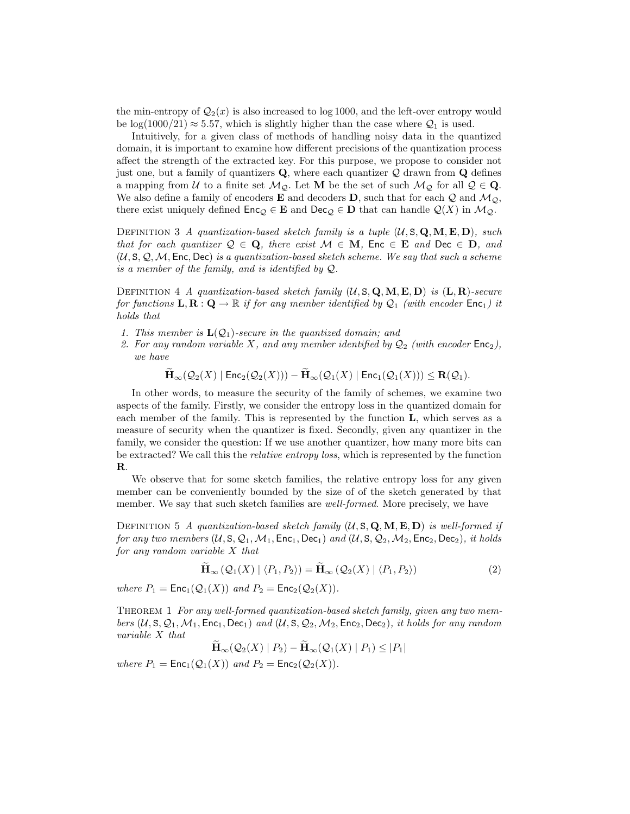the min-entropy of  $Q_2(x)$  is also increased to log 1000, and the left-over entropy would be  $\log(1000/21) \approx 5.57$ , which is slightly higher than the case where  $\mathcal{Q}_1$  is used.

Intuitively, for a given class of methods of handling noisy data in the quantized domain, it is important to examine how different precisions of the quantization process affect the strength of the extracted key. For this purpose, we propose to consider not just one, but a family of quantizers  $Q$ , where each quantizer  $Q$  drawn from  $Q$  defines a mapping from U to a finite set  $M_{\mathcal{Q}}$ . Let M be the set of such  $M_{\mathcal{Q}}$  for all  $\mathcal{Q} \in \mathbf{Q}$ . We also define a family of encoders **E** and decoders **D**, such that for each  $Q$  and  $M_Q$ , there exist uniquely defined  $\mathsf{Enc}_{\mathcal{Q}} \in \mathbf{E}$  and  $\mathsf{Dec}_{\mathcal{Q}} \in \mathbf{D}$  that can handle  $\mathcal{Q}(X)$  in  $\mathcal{M}_{\mathcal{Q}}$ .

DEFINITION 3 A quantization-based sketch family is a tuple  $(\mathcal{U}, S, \mathbf{Q}, \mathbf{M}, \mathbf{E}, \mathbf{D})$ , such that for each quantizer  $\mathcal{Q} \in \mathbf{Q}$ , there exist  $\mathcal{M} \in \mathbf{M}$ ,  $\mathsf{Enc} \in \mathbf{E}$  and  $\mathsf{Dec} \in \mathbf{D}$ , and  $(U, S, Q, M, Enc, Dec)$  is a quantization-based sketch scheme. We say that such a scheme is a member of the family, and is identified by Q.

DEFINITION 4 A quantization-based sketch family  $(U, S, Q, M, E, D)$  is  $(L, R)$ -secure for functions  $L, R: Q \to \mathbb{R}$  if for any member identified by  $Q_1$  (with encoder  $Enc_1$ ) it holds that

- 1. This member is  $\mathbf{L}(\mathcal{Q}_1)$ -secure in the quantized domain; and
- 2. For any random variable X, and any member identified by  $\mathcal{Q}_2$  (with encoder  $\mathsf{Enc}_2$ ), we have

 $\widetilde{\mathbf{H}}_{\infty}(\mathcal{Q}_2(X) | \text{Enc}_2(\mathcal{Q}_2(X))) - \widetilde{\mathbf{H}}_{\infty}(\mathcal{Q}_1(X) | \text{Enc}_1(\mathcal{Q}_1(X))) \leq \mathbf{R}(\mathcal{Q}_1).$ 

In other words, to measure the security of the family of schemes, we examine two aspects of the family. Firstly, we consider the entropy loss in the quantized domain for each member of the family. This is represented by the function L, which serves as a measure of security when the quantizer is fixed. Secondly, given any quantizer in the family, we consider the question: If we use another quantizer, how many more bits can be extracted? We call this the relative entropy loss, which is represented by the function R.

We observe that for some sketch families, the relative entropy loss for any given member can be conveniently bounded by the size of of the sketch generated by that member. We say that such sketch families are *well-formed*. More precisely, we have

DEFINITION 5 A quantization-based sketch family  $(U, S, Q, M, E, D)$  is well-formed if for any two members  $(\mathcal{U}, S, \mathcal{Q}_1, \mathcal{M}_1, \text{Enc}_1, \text{Dec}_1)$  and  $(\mathcal{U}, S, \mathcal{Q}_2, \mathcal{M}_2, \text{Enc}_2, \text{Dec}_2)$ , it holds for any random variable X that

$$
\mathbf{H}_{\infty}(\mathcal{Q}_{1}(X) | \langle P_{1}, P_{2} \rangle) = \mathbf{H}_{\infty}(\mathcal{Q}_{2}(X) | \langle P_{1}, P_{2} \rangle)
$$
 (2)

where  $P_1 = \text{Enc}_1(\mathcal{Q}_1(X))$  and  $P_2 = \text{Enc}_2(\mathcal{Q}_2(X))$ .

Theorem 1 For any well-formed quantization-based sketch family, given any two members  $(U, S, Q_1, M_1, Enc_1, Dec_1)$  and  $(U, S, Q_2, M_2, Enc_2, Dec_2)$ , it holds for any random variable X that

$$
\mathbf{H}_{\infty}(\mathcal{Q}_2(X) | P_2) - \mathbf{H}_{\infty}(\mathcal{Q}_1(X) | P_1) \leq |P_1|
$$

where  $P_1 = \text{Enc}_1(\mathcal{Q}_1(X))$  and  $P_2 = \text{Enc}_2(\mathcal{Q}_2(X)).$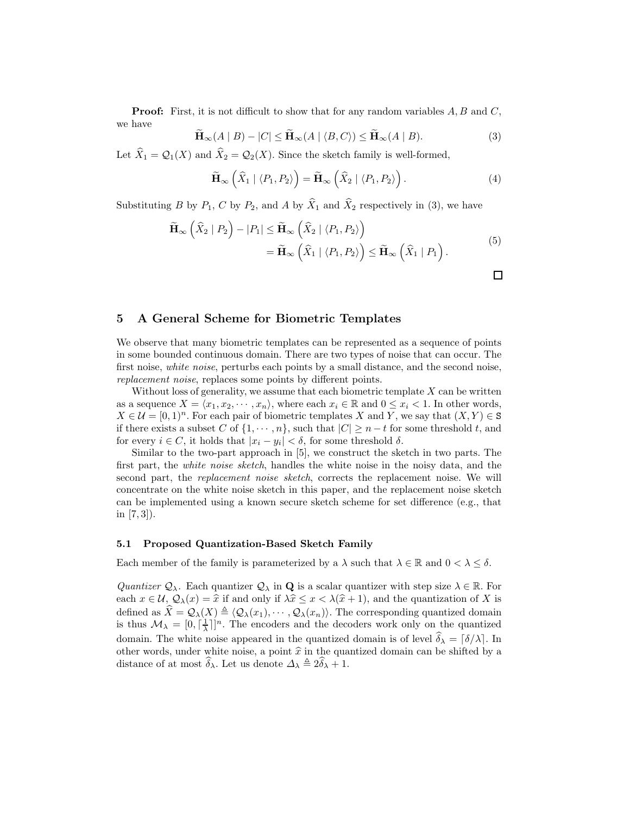**Proof:** First, it is not difficult to show that for any random variables  $A, B$  and  $C$ , we have

$$
\widetilde{\mathbf{H}}_{\infty}(A \mid B) - |C| \le \widetilde{\mathbf{H}}_{\infty}(A \mid \langle B, C \rangle) \le \widetilde{\mathbf{H}}_{\infty}(A \mid B). \tag{3}
$$

Let  $\widehat{X}_1 = Q_1(X)$  and  $\widehat{X}_2 = Q_2(X)$ . Since the sketch family is well-formed,

$$
\widetilde{\mathbf{H}}_{\infty}\left(\widehat{X}_1 \mid \langle P_1, P_2 \rangle\right) = \widetilde{\mathbf{H}}_{\infty}\left(\widehat{X}_2 \mid \langle P_1, P_2 \rangle\right). \tag{4}
$$

Substituting B by  $P_1$ , C by  $P_2$ , and A by  $\widehat{X}_1$  and  $\widehat{X}_2$  respectively in (3), we have

$$
\widetilde{\mathbf{H}}_{\infty}(\widehat{X}_2 | P_2) - |P_1| \leq \widetilde{\mathbf{H}}_{\infty}(\widehat{X}_2 | \langle P_1, P_2 \rangle) \n= \widetilde{\mathbf{H}}_{\infty}(\widehat{X}_1 | \langle P_1, P_2 \rangle) \leq \widetilde{\mathbf{H}}_{\infty}(\widehat{X}_1 | P_1).
$$
\n(5)

## 5 A General Scheme for Biometric Templates

We observe that many biometric templates can be represented as a sequence of points in some bounded continuous domain. There are two types of noise that can occur. The first noise, white noise, perturbs each points by a small distance, and the second noise, replacement noise, replaces some points by different points.

Without loss of generality, we assume that each biometric template  $X$  can be written as a sequence  $X = \langle x_1, x_2, \dots, x_n \rangle$ , where each  $x_i \in \mathbb{R}$  and  $0 \le x_i < 1$ . In other words,  $X \in \mathcal{U} = [0, 1)^n$ . For each pair of biometric templates X and Y, we say that  $(X, Y) \in S$ if there exists a subset C of  $\{1, \dots, n\}$ , such that  $|C| \geq n - t$  for some threshold t, and for every  $i \in C$ , it holds that  $|x_i - y_i| < \delta$ , for some threshold  $\delta$ .

Similar to the two-part approach in [5], we construct the sketch in two parts. The first part, the white noise sketch, handles the white noise in the noisy data, and the second part, the replacement noise sketch, corrects the replacement noise. We will concentrate on the white noise sketch in this paper, and the replacement noise sketch can be implemented using a known secure sketch scheme for set difference (e.g., that in  $[7, 3]$ ).

### 5.1 Proposed Quantization-Based Sketch Family

Each member of the family is parameterized by a  $\lambda$  such that  $\lambda \in \mathbb{R}$  and  $0 < \lambda \leq \delta$ .

Quantizer  $\mathcal{Q}_{\lambda}$ . Each quantizer  $\mathcal{Q}_{\lambda}$  in **Q** is a scalar quantizer with step size  $\lambda \in \mathbb{R}$ . For each  $x \in \mathcal{U}$ ,  $\mathcal{Q}_{\lambda}(x) = \hat{x}$  if and only if  $\lambda \hat{x} \leq x < \lambda(\hat{x} + 1)$ , and the quantization of X is defined as  $\hat{X} = \mathcal{Q}_{\lambda}(X) \triangleq \langle \mathcal{Q}_{\lambda}(x_1), \cdots, \mathcal{Q}_{\lambda}(x_n) \rangle$ . The corresponding quantized domain is thus  $\mathcal{M}_{\lambda} = [0, \lceil \frac{1}{\lambda} \rceil]^n$ . The encoders and the decoders work only on the quantized domain. The white noise appeared in the quantized domain is of level  $\hat{\delta}_{\lambda} = [\delta/\lambda]$ . In other words, under white noise, a point  $\hat{x}$  in the quantized domain can be shifted by a distance of at most  $\widehat{\delta}_\lambda$ . Let us denote  $\Delta_\lambda \triangleq 2\widehat{\delta}_\lambda + 1$ .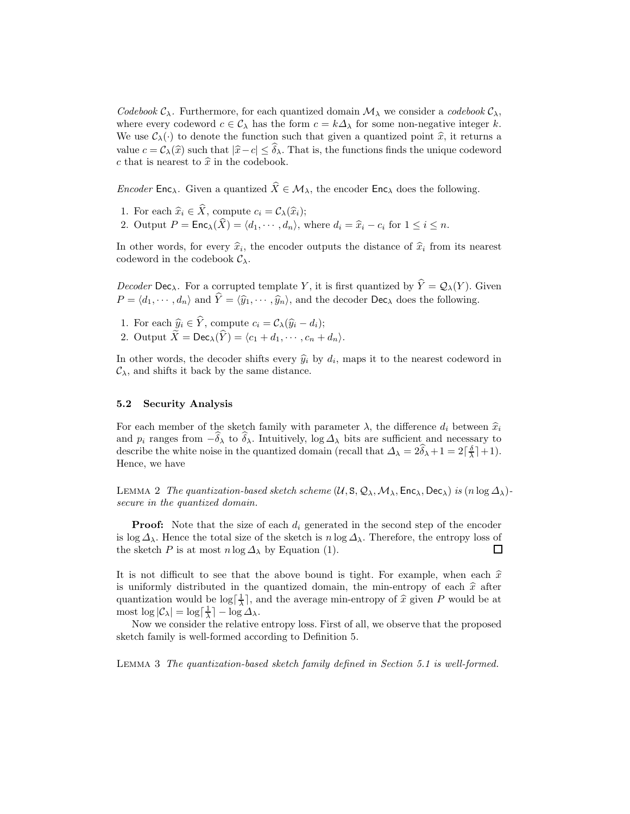Codebook  $\mathcal{C}_{\lambda}$ . Furthermore, for each quantized domain  $\mathcal{M}_{\lambda}$  we consider a codebook  $\mathcal{C}_{\lambda}$ , where every codeword  $c \in \mathcal{C}_{\lambda}$  has the form  $c = k\Delta_{\lambda}$  for some non-negative integer k. We use  $\mathcal{C}_{\lambda}(\cdot)$  to denote the function such that given a quantized point  $\hat{x}$ , it returns a value  $c = \mathcal{C}_{\lambda}(\hat{x})$  such that  $|\hat{x}-c| \leq \delta_{\lambda}$ . That is, the functions finds the unique codeword c that is nearest to  $\hat{x}$  in the codebook.

*Encoder* Enc<sub>λ</sub>. Given a quantized  $\hat{X} \in \mathcal{M}_{\lambda}$ , the encoder Enc<sub>λ</sub> does the following.

- 1. For each  $\widehat{x}_i \in \widehat{X}$ , compute  $c_i = \mathcal{C}_{\lambda}(\widehat{x}_i);$
- 2. Output  $P = \text{Enc}_{\lambda}(\widehat{X}) = \langle d_1, \cdots, d_n \rangle$ , where  $d_i = \widehat{x}_i c_i$  for  $1 \leq i \leq n$ .

In other words, for every  $\hat{x}_i$ , the encoder outputs the distance of  $\hat{x}_i$  from its nearest codeword in the codebook  $\mathcal{C}_{\lambda}$ .

Decoder Dec<sub> $\lambda$ </sub>. For a corrupted template Y, it is first quantized by  $\hat{Y} = \mathcal{Q}_{\lambda}(Y)$ . Given  $P = \langle d_1, \cdots, d_n \rangle$  and  $\hat{Y} = \langle \hat{y}_1, \cdots, \hat{y}_n \rangle$ , and the decoder Dec<sub> $\lambda$ </sub> does the following.

- 1. For each  $\hat{y}_i \in \hat{Y}$ , compute  $c_i = \mathcal{C}_{\lambda}(\hat{y}_i d_i);$ 2. Output  $\tilde{X} = \text{Dec}_{\lambda}(\hat{Y}) = \langle c_1 + d_1, \cdots, c_n + d_n \rangle$ .
- 

In other words, the decoder shifts every  $\hat{y}_i$  by  $d_i$ , maps it to the nearest codeword in  $\mathcal{C}_{\lambda}$ , and shifts it back by the same distance.

#### 5.2 Security Analysis

For each member of the sketch family with parameter  $\lambda$ , the difference  $d_i$  between  $\hat{x}_i$ and  $p_i$  ranges from  $-\delta_\lambda$  to  $\delta_\lambda$ . Intuitively, log  $\Delta_\lambda$  bits are sufficient and necessary to describe the white noise in the quantized domain (recall that  $\Delta_{\lambda} = 2\hat{\delta}_{\lambda} + 1 = 2[\frac{\delta}{\lambda} + 1]$ ). Hence, we have

LEMMA 2 The quantization-based sketch scheme  $(\mathcal{U}, S, \mathcal{Q}_\lambda, \mathcal{M}_\lambda, \mathsf{Enc}_\lambda, \mathsf{Dec}_\lambda)$  is  $(n \log \Delta_\lambda)$ secure in the quantized domain.

**Proof:** Note that the size of each  $d_i$  generated in the second step of the encoder is log  $\Delta_{\lambda}$ . Hence the total size of the sketch is n log  $\Delta_{\lambda}$ . Therefore, the entropy loss of the sketch P is at most  $n \log \Delta_{\lambda}$  by Equation (1). □

It is not difficult to see that the above bound is tight. For example, when each  $\hat{x}$ is uniformly distributed in the quantized domain, the min-entropy of each  $\hat{x}$  after quantization would be  $\log[\frac{1}{\lambda}]$ , and the average min-entropy of  $\hat{x}$  given P would be at most  $\log |\mathcal{C}_\lambda| = \log |\frac{1}{\lambda}| - \log \Delta_\lambda$ .

Now we consider the relative entropy loss. First of all, we observe that the proposed sketch family is well-formed according to Definition 5.

Lemma 3 The quantization-based sketch family defined in Section 5.1 is well-formed.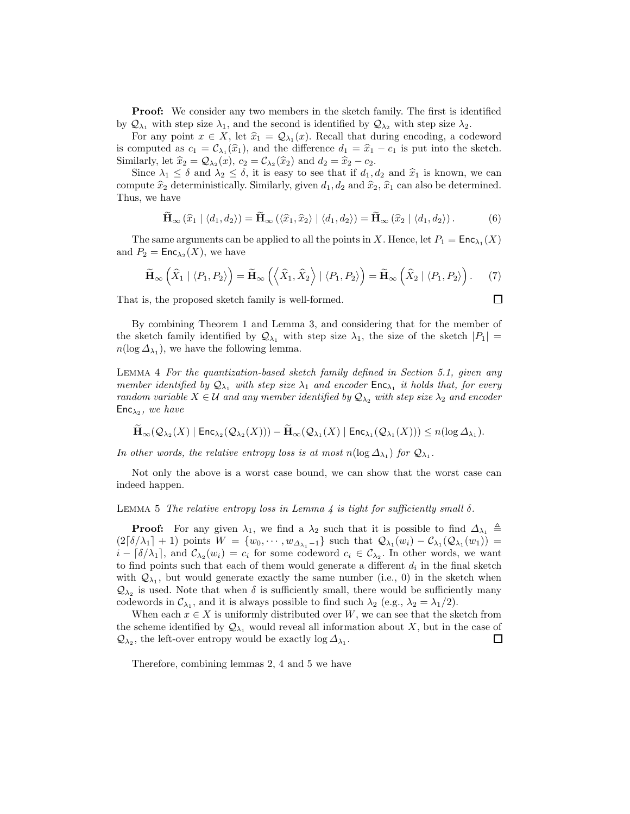**Proof:** We consider any two members in the sketch family. The first is identified by  $\mathcal{Q}_{\lambda_1}$  with step size  $\lambda_1$ , and the second is identified by  $\mathcal{Q}_{\lambda_2}$  with step size  $\lambda_2$ .

For any point  $x \in X$ , let  $\hat{x}_1 = Q_{\lambda_1}(x)$ . Recall that during encoding, a codeword is computed as  $c_1 = \mathcal{C}_{\lambda_1}(\hat{x}_1)$ , and the difference  $d_1 = \hat{x}_1 - c_1$  is put into the sketch. Similarly, let  $\widehat{x}_2 = \mathcal{Q}_{\lambda_2}(x)$ ,  $c_2 = \mathcal{C}_{\lambda_2}(\widehat{x}_2)$  and  $d_2 = \widehat{x}_2 - c_2$ .

Since  $\lambda_1 \leq \delta$  and  $\lambda_2 \leq \delta$ , it is easy to see that if  $d_1, d_2$  and  $\widehat{x}_1$  is known, we can compute  $\hat{x}_2$  deterministically. Similarly, given  $d_1, d_2$  and  $\hat{x}_2, \hat{x}_1$  can also be determined. Thus, we have

$$
\widetilde{\mathbf{H}}_{\infty}(\widehat{x}_1 | \langle d_1, d_2 \rangle) = \widetilde{\mathbf{H}}_{\infty}(\langle \widehat{x}_1, \widehat{x}_2 \rangle | \langle d_1, d_2 \rangle) = \widetilde{\mathbf{H}}_{\infty}(\widehat{x}_2 | \langle d_1, d_2 \rangle).
$$
 (6)

The same arguments can be applied to all the points in X. Hence, let  $P_1 = \mathsf{Enc}_{\lambda_1}(X)$ and  $P_2 = \mathsf{Enc}_{\lambda_2}(X)$ , we have

$$
\widetilde{\mathbf{H}}_{\infty}\left(\widehat{X}_{1} \mid \langle P_{1}, P_{2} \rangle\right) = \widetilde{\mathbf{H}}_{\infty}\left(\left\langle \widehat{X}_{1}, \widehat{X}_{2} \right\rangle \mid \langle P_{1}, P_{2} \rangle\right) = \widetilde{\mathbf{H}}_{\infty}\left(\widehat{X}_{2} \mid \langle P_{1}, P_{2} \rangle\right). \tag{7}
$$

 $\Box$ 

That is, the proposed sketch family is well-formed.

By combining Theorem 1 and Lemma 3, and considering that for the member of the sketch family identified by 
$$
Q_{\lambda_1}
$$
 with step size  $\lambda_1$ , the size of the sketch  $|P_1| = n(\log \Delta_{\lambda_1})$ , we have the following lemma.

Lemma 4 For the quantization-based sketch family defined in Section 5.1, given any member identified by  $\mathcal{Q}_{\lambda_1}$  with step size  $\lambda_1$  and encoder  $\mathsf{Enc}_{\lambda_1}$  it holds that, for every random variable  $X \in \mathcal{U}$  and any member identified by  $\mathcal{Q}_{\lambda_2}$  with step size  $\lambda_2$  and encoder  $Enc_{\lambda_2}$ , we have

$$
\widetilde{\mathbf{H}}_\infty(\mathcal{Q}_{\lambda_2}(X)\mid \mathsf{Enc}_{\lambda_2}(\mathcal{Q}_{\lambda_2}(X)))-\widetilde{\mathbf{H}}_\infty(\mathcal{Q}_{\lambda_1}(X)\mid \mathsf{Enc}_{\lambda_1}(\mathcal{Q}_{\lambda_1}(X)))\leq n(\log\varDelta_{\lambda_1}).
$$

In other words, the relative entropy loss is at most  $n(\log \Delta_{\lambda_1})$  for  $\mathcal{Q}_{\lambda_1}$ .

Not only the above is a worst case bound, we can show that the worst case can indeed happen.

## LEMMA 5 The relative entropy loss in Lemma  $\lambda$  is tight for sufficiently small  $\delta$ .

**Proof:** For any given  $\lambda_1$ , we find a  $\lambda_2$  such that it is possible to find  $\Delta_{\lambda_1} \triangleq$  $(2\lceil \delta/\lambda_1 \rceil + 1)$  points  $W = \{w_0, \dots, w_{\Delta_{\lambda_1}-1}\}\$  such that  $\mathcal{Q}_{\lambda_1}(w_i) - \mathcal{C}_{\lambda_1}(\mathcal{Q}_{\lambda_1}(w_1)) =$  $i - \lceil \delta/\lambda_1 \rceil$ , and  $\mathcal{C}_{\lambda_2}(w_i) = c_i$  for some codeword  $c_i \in \mathcal{C}_{\lambda_2}$ . In other words, we want to find points such that each of them would generate a different  $d_i$  in the final sketch with  $\mathcal{Q}_{\lambda_1}$ , but would generate exactly the same number (i.e., 0) in the sketch when  $\mathcal{Q}_{\lambda_2}$  is used. Note that when  $\delta$  is sufficiently small, there would be sufficiently many codewords in  $\mathcal{C}_{\lambda_1}$ , and it is always possible to find such  $\lambda_2$  (e.g.,  $\lambda_2 = \lambda_1/2$ ).

When each  $x \in X$  is uniformly distributed over W, we can see that the sketch from the scheme identified by  $\mathcal{Q}_{\lambda_1}$  would reveal all information about X, but in the case of  $\mathcal{Q}_{\lambda_2}$ , the left-over entropy would be exactly  $\log \Delta_{\lambda_1}$ .  $\Box$ 

Therefore, combining lemmas 2, 4 and 5 we have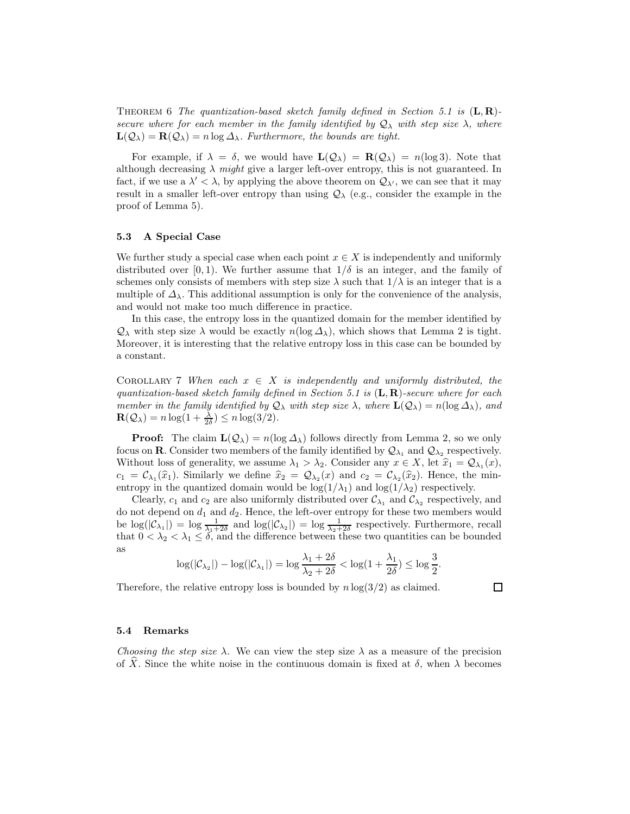THEOREM 6 The quantization-based sketch family defined in Section 5.1 is  $(L, R)$ secure where for each member in the family identified by  $\mathcal{Q}_{\lambda}$  with step size  $\lambda$ , where  $\mathbf{L}(\mathcal{Q}_{\lambda}) = \mathbf{R}(\mathcal{Q}_{\lambda}) = n \log \Delta_{\lambda}$ . Furthermore, the bounds are tight.

For example, if  $\lambda = \delta$ , we would have  $\mathbf{L}(\mathcal{Q}_{\lambda}) = \mathbf{R}(\mathcal{Q}_{\lambda}) = n(\log 3)$ . Note that although decreasing  $\lambda$  might give a larger left-over entropy, this is not guaranteed. In fact, if we use a  $\lambda' < \lambda$ , by applying the above theorem on  $\mathcal{Q}_{\lambda'}$ , we can see that it may result in a smaller left-over entropy than using  $\mathcal{Q}_{\lambda}$  (e.g., consider the example in the proof of Lemma 5).

### 5.3 A Special Case

We further study a special case when each point  $x \in X$  is independently and uniformly distributed over [0, 1). We further assume that  $1/\delta$  is an integer, and the family of schemes only consists of members with step size  $\lambda$  such that  $1/\lambda$  is an integer that is a multiple of  $\Delta_{\lambda}$ . This additional assumption is only for the convenience of the analysis, and would not make too much difference in practice.

In this case, the entropy loss in the quantized domain for the member identified by  $\mathcal{Q}_{\lambda}$  with step size  $\lambda$  would be exactly  $n(\log \Delta_{\lambda})$ , which shows that Lemma 2 is tight. Moreover, it is interesting that the relative entropy loss in this case can be bounded by a constant.

COROLLARY 7 When each  $x \in X$  is independently and uniformly distributed, the quantization-based sketch family defined in Section 5.1 is  $(L, R)$ -secure where for each member in the family identified by  $\mathcal{Q}_{\lambda}$  with step size  $\lambda$ , where  $\mathbf{L}(\mathcal{Q}_{\lambda}) = n(\log \Delta_{\lambda})$ , and  $\mathbf{R}(\mathcal{Q}_\lambda) = n \log(1 + \frac{\lambda}{2\delta}) \leq n \log(3/2).$ 

**Proof:** The claim  $\mathbf{L}(\mathcal{Q}_\lambda) = n(\log \Delta_\lambda)$  follows directly from Lemma 2, so we only focus on **R**. Consider two members of the family identified by  $\mathcal{Q}_{\lambda_1}$  and  $\mathcal{Q}_{\lambda_2}$  respectively. Without loss of generality, we assume  $\lambda_1 > \lambda_2$ . Consider any  $x \in X$ , let  $\hat{x}_1 = \mathcal{Q}_{\lambda_1}(x)$ ,  $c_1 = \mathcal{C}_{\lambda_1}(\hat{x}_1)$ . Similarly we define  $\hat{x}_2 = \mathcal{Q}_{\lambda_2}(x)$  and  $c_2 = \mathcal{C}_{\lambda_2}(\hat{x}_2)$ . Hence, the minentropy in the quantized domain would be  $\log(1/\lambda_1)$  and  $\log(1/\lambda_2)$  respectively.

Clearly,  $c_1$  and  $c_2$  are also uniformly distributed over  $\mathcal{C}_{\lambda_1}$  and  $\mathcal{C}_{\lambda_2}$  respectively, and do not depend on  $d_1$  and  $d_2$ . Hence, the left-over entropy for these two members would be  $\log(|\mathcal{C}_{\lambda_1}|) = \log \frac{1}{\lambda_1 + 2\delta}$  and  $\log(|\mathcal{C}_{\lambda_2}|) = \log \frac{1}{\lambda_2 + 2\delta}$  respectively. Furthermore, recall that  $0 < \lambda_2 < \lambda_1 \leq \delta$ , and the difference between these two quantities can be bounded as

$$
\log(|\mathcal{C}_{\lambda_2}|) - \log(|\mathcal{C}_{\lambda_1}|) = \log \frac{\lambda_1 + 2\delta}{\lambda_2 + 2\delta} < \log(1 + \frac{\lambda_1}{2\delta}) \le \log \frac{3}{2}.
$$

Therefore, the relative entropy loss is bounded by  $n \log(3/2)$  as claimed.

 $\Box$ 

#### 5.4 Remarks

Choosing the step size  $\lambda$ . We can view the step size  $\lambda$  as a measure of the precision of X. Since the white noise in the continuous domain is fixed at  $\delta$ , when  $\lambda$  becomes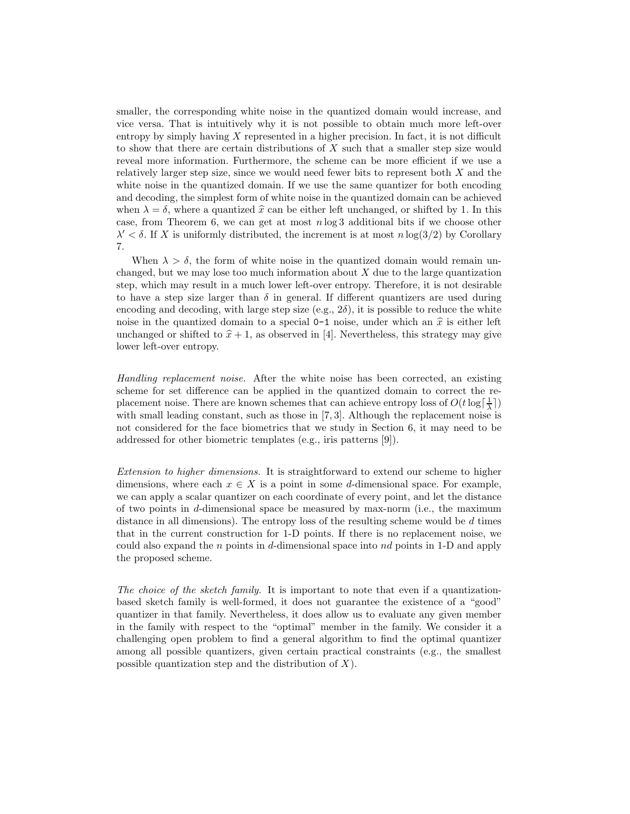smaller, the corresponding white noise in the quantized domain would increase, and vice versa. That is intuitively why it is not possible to obtain much more left-over entropy by simply having X represented in a higher precision. In fact, it is not difficult to show that there are certain distributions of X such that a smaller step size would reveal more information. Furthermore, the scheme can be more efficient if we use a relatively larger step size, since we would need fewer bits to represent both  $X$  and the white noise in the quantized domain. If we use the same quantizer for both encoding and decoding, the simplest form of white noise in the quantized domain can be achieved when  $\lambda = \delta$ , where a quantized  $\hat{x}$  can be either left unchanged, or shifted by 1. In this case, from Theorem 6, we can get at most  $n \log 3$  additional bits if we choose other  $\lambda' < \delta$ . If X is uniformly distributed, the increment is at most  $n \log(3/2)$  by Corollary 7.

When  $\lambda > \delta$ , the form of white noise in the quantized domain would remain unchanged, but we may lose too much information about  $X$  due to the large quantization step, which may result in a much lower left-over entropy. Therefore, it is not desirable to have a step size larger than  $\delta$  in general. If different quantizers are used during encoding and decoding, with large step size  $(e.g., 2\delta)$ , it is possible to reduce the white noise in the quantized domain to a special  $0-1$  noise, under which an  $\hat{x}$  is either left unchanged or shifted to  $\hat{x} + 1$ , as observed in [4]. Nevertheless, this strategy may give lower left-over entropy.

Handling replacement noise. After the white noise has been corrected, an existing scheme for set difference can be applied in the quantized domain to correct the replacement noise. There are known schemes that can achieve entropy loss of  $O(t \log \lceil \frac{1}{\lambda} \rceil)$ with small leading constant, such as those in [7,3]. Although the replacement noise is not considered for the face biometrics that we study in Section 6, it may need to be addressed for other biometric templates (e.g., iris patterns [9]).

Extension to higher dimensions. It is straightforward to extend our scheme to higher dimensions, where each  $x \in X$  is a point in some d-dimensional space. For example, we can apply a scalar quantizer on each coordinate of every point, and let the distance of two points in d-dimensional space be measured by max-norm (i.e., the maximum distance in all dimensions). The entropy loss of the resulting scheme would be  $d$  times that in the current construction for 1-D points. If there is no replacement noise, we could also expand the n points in d-dimensional space into  $nd$  points in 1-D and apply the proposed scheme.

The choice of the sketch family. It is important to note that even if a quantizationbased sketch family is well-formed, it does not guarantee the existence of a "good" quantizer in that family. Nevertheless, it does allow us to evaluate any given member in the family with respect to the "optimal" member in the family. We consider it a challenging open problem to find a general algorithm to find the optimal quantizer among all possible quantizers, given certain practical constraints (e.g., the smallest possible quantization step and the distribution of  $X$ ).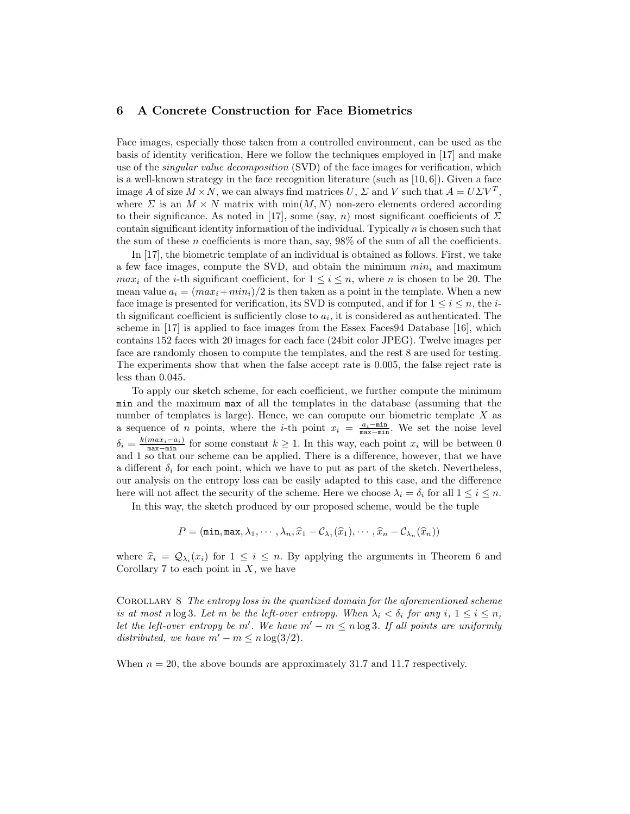### 6 A Concrete Construction for Face Biometrics

Face images, especially those taken from a controlled environment, can be used as the basis of identity verification, Here we follow the techniques employed in [17] and make use of the *singular value decomposition* (SVD) of the face images for verification, which is a well-known strategy in the face recognition literature (such as [10, 6]). Given a face image A of size  $M \times N$ , we can always find matrices U,  $\Sigma$  and V such that  $A = U\Sigma V^T$ , where  $\Sigma$  is an  $M \times N$  matrix with  $\min(M, N)$  non-zero elements ordered according to their significance. As noted in [17], some (say, n) most significant coefficients of  $\Sigma$ contain significant identity information of the individual. Typically  $n$  is chosen such that the sum of these n coefficients is more than, say,  $98\%$  of the sum of all the coefficients.

In [17], the biometric template of an individual is obtained as follows. First, we take a few face images, compute the SVD, and obtain the minimum  $min_i$  and maximum *max<sub>i</sub>* of the *i*-th significant coefficient, for  $1 \leq i \leq n$ , where *n* is chosen to be 20. The mean value  $a_i = (max_i + min_i)/2$  is then taken as a point in the template. When a new face image is presented for verification, its SVD is computed, and if for  $1 \le i \le n$ , the *i*th significant coefficient is sufficiently close to  $a_i$ , it is considered as authenticated. The scheme in [17] is applied to face images from the Essex Faces94 Database [16], which contains 152 faces with 20 images for each face (24bit color JPEG). Twelve images per face are randomly chosen to compute the templates, and the rest 8 are used for testing. The experiments show that when the false accept rate is 0.005, the false reject rate is less than 0.045.

To apply our sketch scheme, for each coefficient, we further compute the minimum min and the maximum max of all the templates in the database (assuming that the number of templates is large). Hence, we can compute our biometric template  $X$  as a sequence of n points, where the i-th point  $x_i = \frac{a_i - \min}{\max - \min}$ . We set the noise level  $\delta_i = \frac{k(max_i-a_i)}{\max-\min}$  for some constant  $k \geq 1$ . In this way, each point  $x_i$  will be between 0 and 1 so that our scheme can be applied. There is a difference, however, that we have a different  $\delta_i$  for each point, which we have to put as part of the sketch. Nevertheless, our analysis on the entropy loss can be easily adapted to this case, and the difference here will not affect the security of the scheme. Here we choose  $\lambda_i = \delta_i$  for all  $1 \leq i \leq n$ .

In this way, the sketch produced by our proposed scheme, would be the tuple

$$
P = (\min, \max, \lambda_1, \cdots, \lambda_n, \widehat{x}_1 - C_{\lambda_1}(\widehat{x}_1), \cdots, \widehat{x}_n - C_{\lambda_n}(\widehat{x}_n))
$$

where  $\hat{x}_i = Q_{\lambda_i}(x_i)$  for  $1 \leq i \leq n$ . By applying the arguments in Theorem 6 and Corollary 7 to each point in  $X$ , we have

Corollary 8 The entropy loss in the quantized domain for the aforementioned scheme is at most n log 3. Let m be the left-over entropy. When  $\lambda_i < \delta_i$  for any i,  $1 \leq i \leq n$ , let the left-over entropy be m'. We have  $m'-m \leq n \log 3$ . If all points are uniformly distributed, we have  $m'-m \leq n \log(3/2)$ .

When  $n = 20$ , the above bounds are approximately 31.7 and 11.7 respectively.